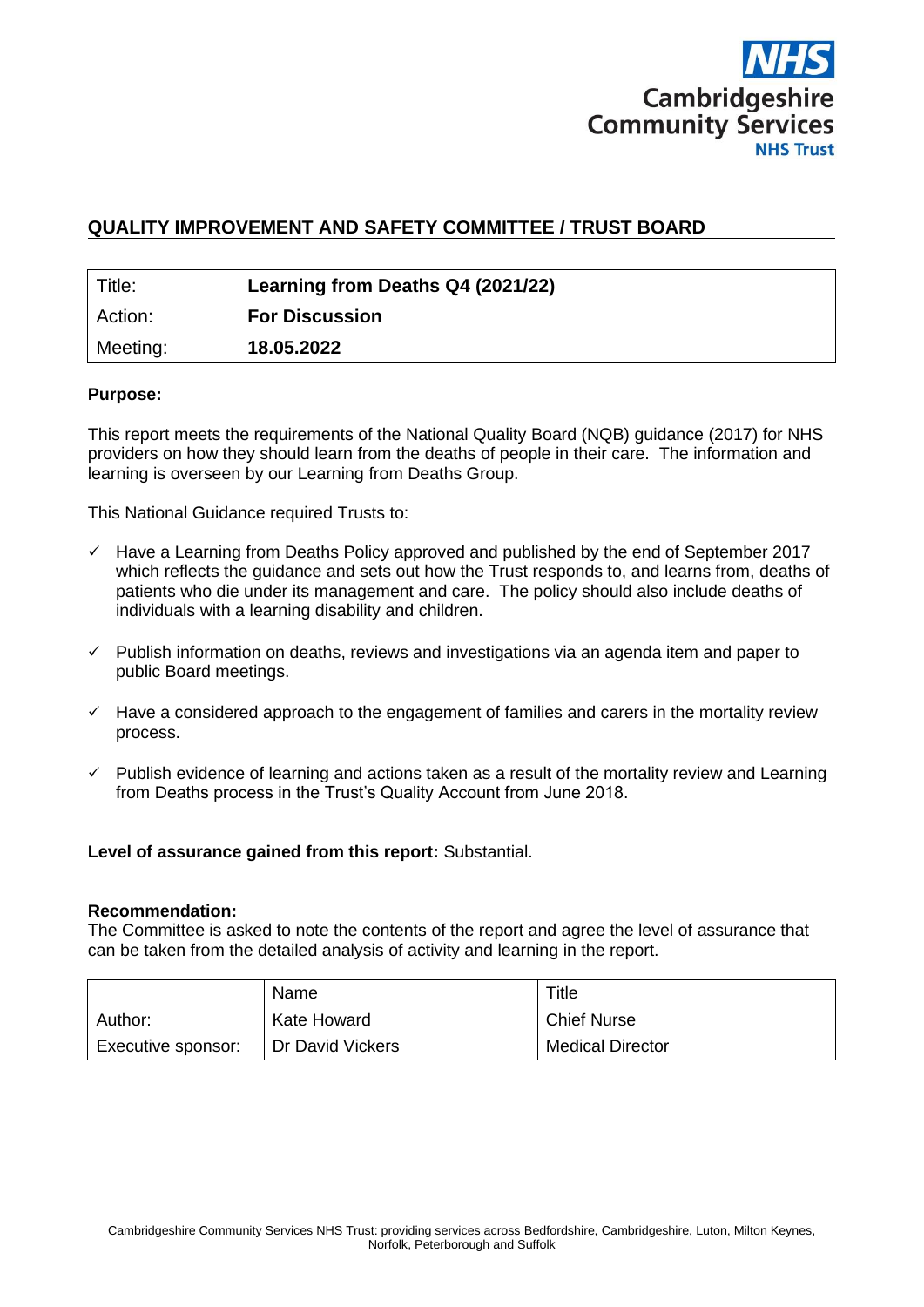

# **QUALITY IMPROVEMENT AND SAFETY COMMITTEE / TRUST BOARD**

| Title:   | Learning from Deaths Q4 (2021/22) |
|----------|-----------------------------------|
| Action:  | <b>For Discussion</b>             |
| Meeting: | 18.05.2022                        |

### **Purpose:**

This report meets the requirements of the National Quality Board (NQB) guidance (2017) for NHS providers on how they should learn from the deaths of people in their care. The information and learning is overseen by our Learning from Deaths Group.

This National Guidance required Trusts to:

- $\checkmark$  Have a Learning from Deaths Policy approved and published by the end of September 2017 which reflects the guidance and sets out how the Trust responds to, and learns from, deaths of patients who die under its management and care. The policy should also include deaths of individuals with a learning disability and children.
- $\checkmark$  Publish information on deaths, reviews and investigations via an agenda item and paper to public Board meetings.
- $\checkmark$  Have a considered approach to the engagement of families and carers in the mortality review process.
- $\checkmark$  Publish evidence of learning and actions taken as a result of the mortality review and Learning from Deaths process in the Trust's Quality Account from June 2018.

#### **Level of assurance gained from this report:** Substantial.

#### **Recommendation:**

The Committee is asked to note the contents of the report and agree the level of assurance that can be taken from the detailed analysis of activity and learning in the report.

|                    | Name             | Title                   |  |  |
|--------------------|------------------|-------------------------|--|--|
| Author:            | Kate Howard      | <b>Chief Nurse</b>      |  |  |
| Executive sponsor: | Dr David Vickers | <b>Medical Director</b> |  |  |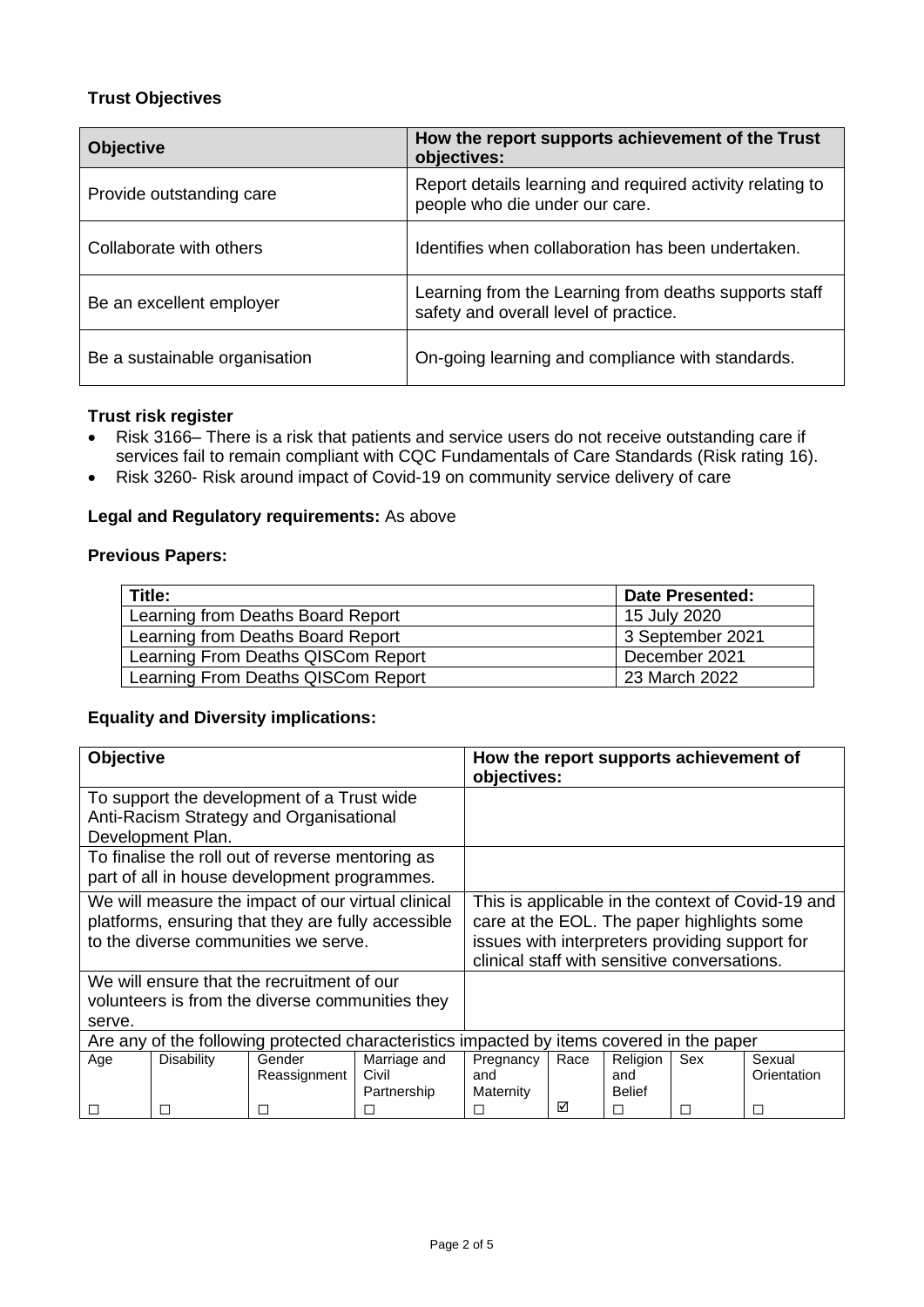# **Trust Objectives**

| <b>Objective</b>              | How the report supports achievement of the Trust<br>objectives:                                |  |  |  |
|-------------------------------|------------------------------------------------------------------------------------------------|--|--|--|
| Provide outstanding care      | Report details learning and required activity relating to<br>people who die under our care.    |  |  |  |
| Collaborate with others       | Identifies when collaboration has been undertaken.                                             |  |  |  |
| Be an excellent employer      | Learning from the Learning from deaths supports staff<br>safety and overall level of practice. |  |  |  |
| Be a sustainable organisation | On-going learning and compliance with standards.                                               |  |  |  |

### **Trust risk register**

- Risk 3166– There is a risk that patients and service users do not receive outstanding care if services fail to remain compliant with CQC Fundamentals of Care Standards (Risk rating 16).
- Risk 3260- Risk around impact of Covid-19 on community service delivery of care

## **Legal and Regulatory requirements:** As above

### **Previous Papers:**

| Title:                             | <b>Date Presented:</b> |
|------------------------------------|------------------------|
| Learning from Deaths Board Report  | 15 July 2020           |
| Learning from Deaths Board Report  | 3 September 2021       |
| Learning From Deaths QISCom Report | December 2021          |
| Learning From Deaths QISCom Report | 23 March 2022          |

### **Equality and Diversity implications:**

| Objective                                                                                 |                   |              |                                                   | How the report supports achievement of<br>objectives: |      |               |     |             |
|-------------------------------------------------------------------------------------------|-------------------|--------------|---------------------------------------------------|-------------------------------------------------------|------|---------------|-----|-------------|
| To support the development of a Trust wide<br>Anti-Racism Strategy and Organisational     |                   |              |                                                   |                                                       |      |               |     |             |
| Development Plan.                                                                         |                   |              |                                                   |                                                       |      |               |     |             |
| To finalise the roll out of reverse mentoring as                                          |                   |              |                                                   |                                                       |      |               |     |             |
| part of all in house development programmes.                                              |                   |              |                                                   |                                                       |      |               |     |             |
| We will measure the impact of our virtual clinical                                        |                   |              | This is applicable in the context of Covid-19 and |                                                       |      |               |     |             |
| platforms, ensuring that they are fully accessible                                        |                   |              | care at the EOL. The paper highlights some        |                                                       |      |               |     |             |
| to the diverse communities we serve.                                                      |                   |              | issues with interpreters providing support for    |                                                       |      |               |     |             |
|                                                                                           |                   |              | clinical staff with sensitive conversations.      |                                                       |      |               |     |             |
| We will ensure that the recruitment of our                                                |                   |              |                                                   |                                                       |      |               |     |             |
| volunteers is from the diverse communities they                                           |                   |              |                                                   |                                                       |      |               |     |             |
| serve.                                                                                    |                   |              |                                                   |                                                       |      |               |     |             |
| Are any of the following protected characteristics impacted by items covered in the paper |                   |              |                                                   |                                                       |      |               |     |             |
| Age                                                                                       | <b>Disability</b> | Gender       | Marriage and                                      | Pregnancy                                             | Race | Religion      | Sex | Sexual      |
|                                                                                           |                   | Reassignment | Civil                                             | and                                                   |      | and           |     | Orientation |
|                                                                                           |                   |              | Partnership                                       | Maternity                                             |      | <b>Belief</b> |     |             |
| $\Box$                                                                                    | П                 | П            | □                                                 | П                                                     | ⊠    | П             |     | □           |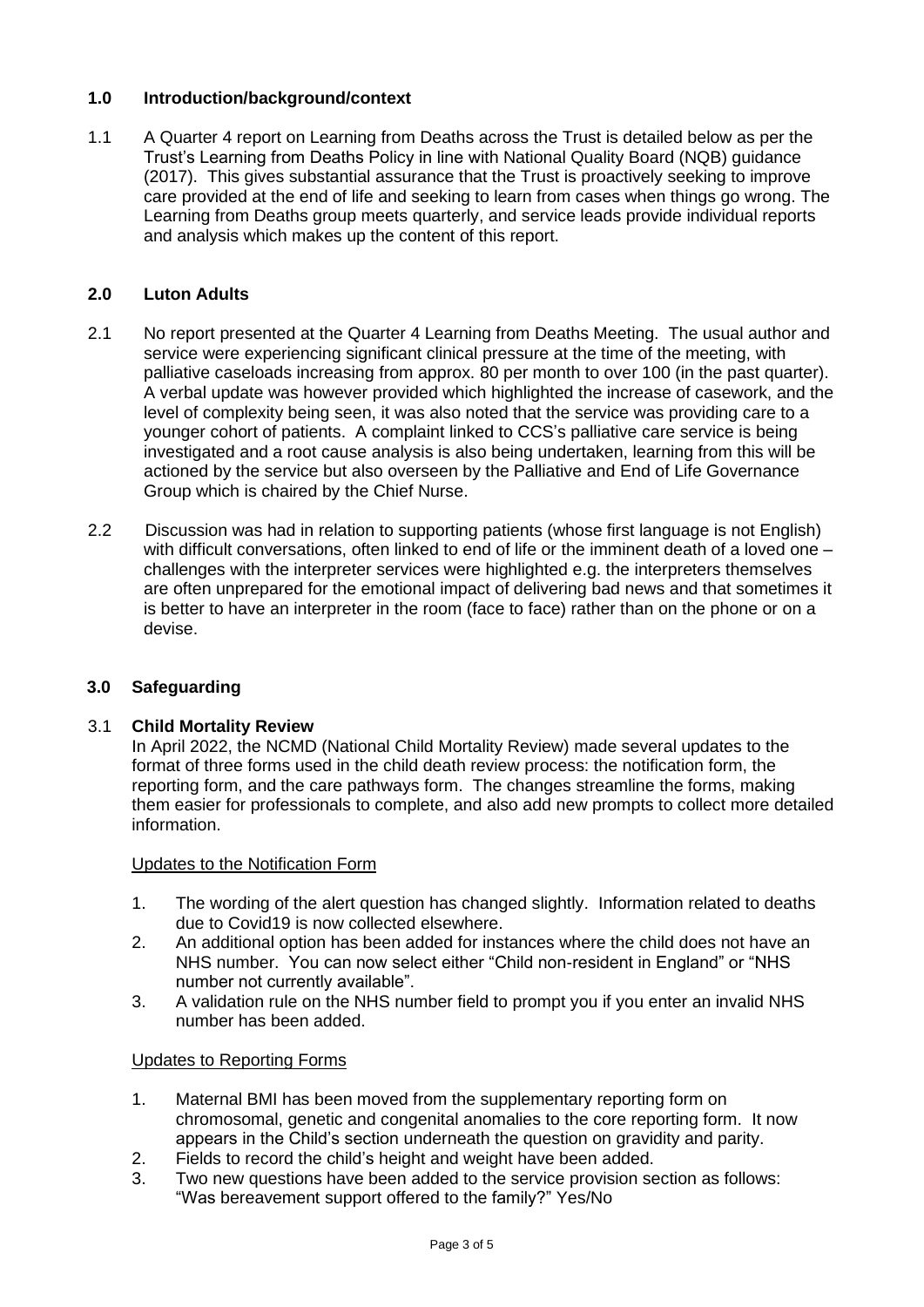# **1.0 Introduction/background/context**

1.1 A Quarter 4 report on Learning from Deaths across the Trust is detailed below as per the Trust's Learning from Deaths Policy in line with National Quality Board (NQB) guidance (2017). This gives substantial assurance that the Trust is proactively seeking to improve care provided at the end of life and seeking to learn from cases when things go wrong. The Learning from Deaths group meets quarterly, and service leads provide individual reports and analysis which makes up the content of this report.

# **2.0 Luton Adults**

- 2.1 No report presented at the Quarter 4 Learning from Deaths Meeting. The usual author and service were experiencing significant clinical pressure at the time of the meeting, with palliative caseloads increasing from approx. 80 per month to over 100 (in the past quarter). A verbal update was however provided which highlighted the increase of casework, and the level of complexity being seen, it was also noted that the service was providing care to a younger cohort of patients. A complaint linked to CCS's palliative care service is being investigated and a root cause analysis is also being undertaken, learning from this will be actioned by the service but also overseen by the Palliative and End of Life Governance Group which is chaired by the Chief Nurse.
- 2.2 Discussion was had in relation to supporting patients (whose first language is not English) with difficult conversations, often linked to end of life or the imminent death of a loved one – challenges with the interpreter services were highlighted e.g. the interpreters themselves are often unprepared for the emotional impact of delivering bad news and that sometimes it is better to have an interpreter in the room (face to face) rather than on the phone or on a devise.

# **3.0 Safeguarding**

## 3.1 **Child Mortality Review**

In April 2022, the NCMD (National Child Mortality Review) made several updates to the format of three forms used in the child death review process: the notification form, the reporting form, and the care pathways form. The changes streamline the forms, making them easier for professionals to complete, and also add new prompts to collect more detailed information.

## Updates to the Notification Form

- 1. The wording of the alert question has changed slightly. Information related to deaths due to Covid19 is now collected elsewhere.
- 2. An additional option has been added for instances where the child does not have an NHS number. You can now select either "Child non-resident in England" or "NHS number not currently available".
- 3. A validation rule on the NHS number field to prompt you if you enter an invalid NHS number has been added.

## Updates to Reporting Forms

- 1. Maternal BMI has been moved from the supplementary reporting form on chromosomal, genetic and congenital anomalies to the core reporting form. It now appears in the Child's section underneath the question on gravidity and parity.
- 2. Fields to record the child's height and weight have been added.
- 3. Two new questions have been added to the service provision section as follows: "Was bereavement support offered to the family?" Yes/No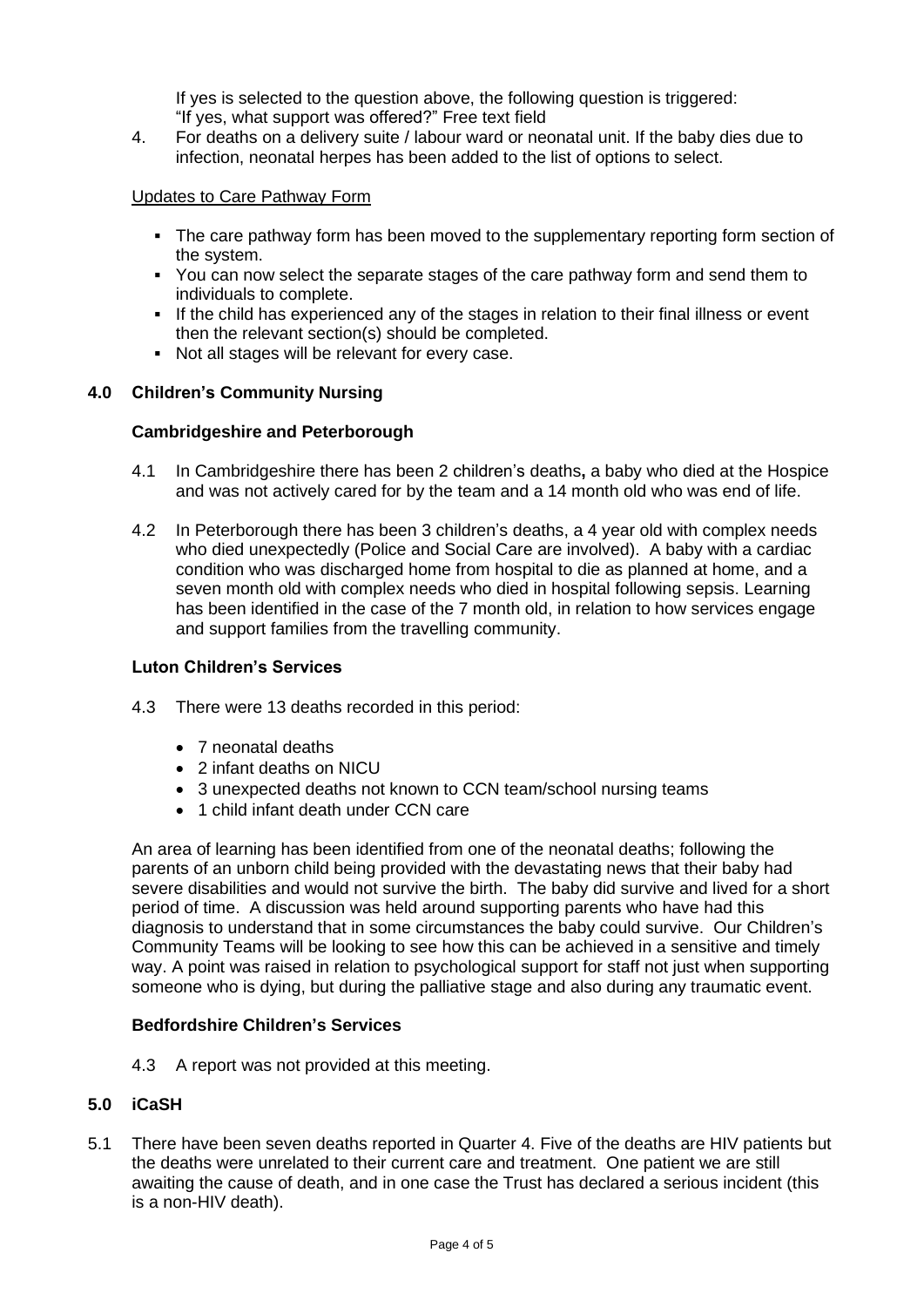If yes is selected to the question above, the following question is triggered: "If yes, what support was offered?" Free text field

4. For deaths on a delivery suite / labour ward or neonatal unit. If the baby dies due to infection, neonatal herpes has been added to the list of options to select.

## Updates to Care Pathway Form

- The care pathway form has been moved to the supplementary reporting form section of the system.
- You can now select the separate stages of the care pathway form and send them to individuals to complete.
- **.** If the child has experienced any of the stages in relation to their final illness or event then the relevant section(s) should be completed.
- Not all stages will be relevant for every case.

### **4.0 Children's Community Nursing**

### **Cambridgeshire and Peterborough**

- 4.1 In Cambridgeshire there has been 2 children's deaths**,** a baby who died at the Hospice and was not actively cared for by the team and a 14 month old who was end of life.
- 4.2 In Peterborough there has been 3 children's deaths, a 4 year old with complex needs who died unexpectedly (Police and Social Care are involved). A baby with a cardiac condition who was discharged home from hospital to die as planned at home, and a seven month old with complex needs who died in hospital following sepsis. Learning has been identified in the case of the 7 month old, in relation to how services engage and support families from the travelling community.

#### **Luton Children's Services**

- 4.3 There were 13 deaths recorded in this period:
	- 7 neonatal deaths
	- 2 infant deaths on NICU
	- 3 unexpected deaths not known to CCN team/school nursing teams
	- 1 child infant death under CCN care

An area of learning has been identified from one of the neonatal deaths; following the parents of an unborn child being provided with the devastating news that their baby had severe disabilities and would not survive the birth. The baby did survive and lived for a short period of time. A discussion was held around supporting parents who have had this diagnosis to understand that in some circumstances the baby could survive. Our Children's Community Teams will be looking to see how this can be achieved in a sensitive and timely way. A point was raised in relation to psychological support for staff not just when supporting someone who is dying, but during the palliative stage and also during any traumatic event.

#### **Bedfordshire Children's Services**

4.3 A report was not provided at this meeting.

## **5.0 iCaSH**

5.1 There have been seven deaths reported in Quarter 4. Five of the deaths are HIV patients but the deaths were unrelated to their current care and treatment. One patient we are still awaiting the cause of death, and in one case the Trust has declared a serious incident (this is a non-HIV death).